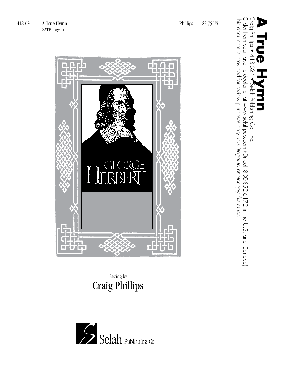

## Setting by Craig Phillips

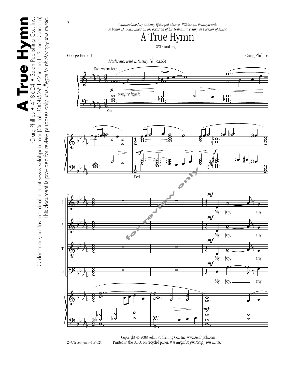$\bullet$  Selah Publishing Co., Inc. Order from your favorite dealer or at www.selahpub.com (Or call 800-852-6172 in the U.S. and Canada) **A True Hymn** Craig Phillips • 418-624 • Selah Publishing Co., Inc. Order from your favorite dealer or at www.selahpub.com [Or call 800-852-6172 in the U.S. and Canada] This document is provided for review purposes only. It is illegal to photocopy this music. This document is provided for review purposes only. *It is illegal to photocopy this music.* **A True Hym** Craig Phillips • 418-624



 Copyright © 2008 Selah Publishing Co., Inc. www.selahpub.com Printed in the U.S.A. on recycled paper. *It is illegal to photocopy this music.* 

2–A True Hymn–418-624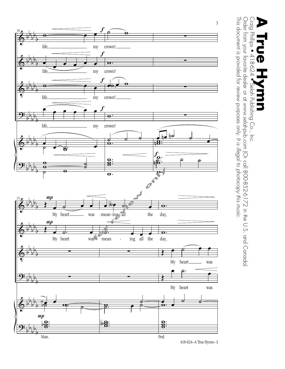

Craig Phillips • 418-624 • Selah Publishing Co., Inc.<br>Order from your favorite dealer or at www.selahpub.com (Or call 800-852-6172 in the U.S. and Canada)<br>This document is exercided for review, exerce call, this illead to This document is provided for review purposes only. It is illegal to photocopy this music. This document is provided for review purposes only. Order from your favorite dealer or at www.selahpub.com (Or call 800-852-6172 in the U.S. and Canada) **A True Hymnn**<br>Craig Philips • 418-624 • Selah Publishing Co., Inc. D *It is illegal to photocopy this music.*

418-624–A True Hymn–3 418-624—A True Hymn—3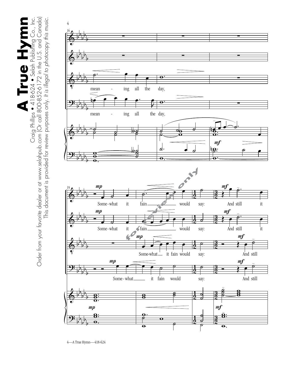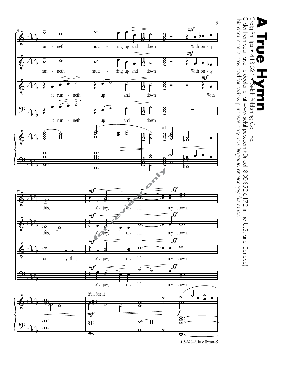

Craig Phillips ● 4 1 8-624 ●Selah Publishing Co., Inc.<br>Order from your favorite dealer or at www.selahpub.com (Or call 800-852-6172 in the U.S. and Canada)<br>This document is provided for review purposes only. It is illegal This document is provided for review purposes only. It is illegal to photocopy this music. This document is provided for review purposes only. Order from your favorite dealer or at www.selahpub.com (Or call 800-852-6172 in the U.S. and Canada) **A True Hymnn**<br>Craig Philips • 418-624 • Selah Publishing Co., Inc. D *It is illegal to photocopy this music.*

418-624—A True Hymn—5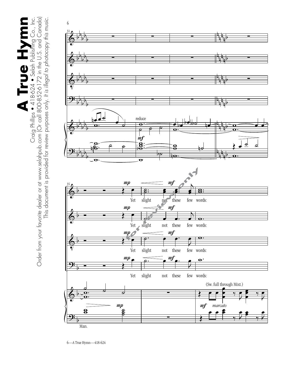$\begin{array}{c} \begin{array}{c} \begin{array}{c} \begin{array}{c} \end{array}\\ \end{array}\\ \end{array}\\ \begin{array}{c} \begin{array}{c} \end{array}\\ \end{array}\\ \end{array}\\ \begin{array}{c} \begin{array}{c} \end{array}\\ \end{array}\\ \end{array}\\ \begin{array}{c} \begin{array}{c} \end{array}\\ \end{array}\\ \end{array}\\ \begin{array}{c} \end{array}\\ \end{array}\\ \begin{array}{c} \end{array}\\ \end{array}\\ \begin{array}{c} \end{array}\\ \end{array}\\ \begin{array}{c} \end{array}\\ \end{array}\\ \begin{array}{c} \end{array}\\ \end{array}\\ \begin{array}{$ Order from your favorite dealer or at www.selahpub.com (Or call 800-852-6172 in the U.S. and Canada) **A True Hymn** Craig Phillips • 418-624 • Selah Publishing Co., Inc. This document is provided for review purposes only. It is illegal to photocopy this music. This document is provided for review purposes only. *It is illegal to photocopy this music.*

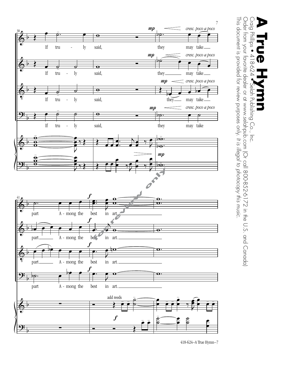

Craig Phillips • 4 1 8-624 • Selah Publishing Co., Inc.<br>Order from your favorite dealer or at www.selahpub.com (Or call 800-852-6172 in the U.S. and Canada)<br>This document is provided for review purposes only. It is illegal This document is provided for review purposes only. It is illegal to photocopy this music. This document is provided for review purposes only. Order from your favorite dealer or at www.selahpub.com (Or call 800-852-6172 in the U.S. and Canada) **A True Hymnn**<br>Craig Philips • 418-624 • Selah Publishing Co., Inc. D *It is illegal to photocopy this music.*

418-624–A True Hymn–7 418-624—A True Hymn—7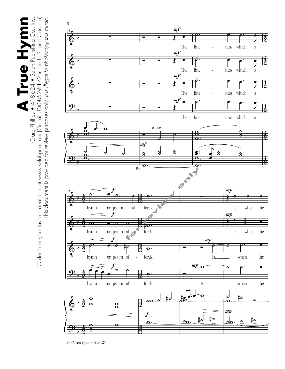

8—A True Hymn—418-624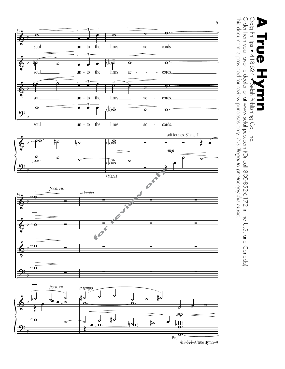

418-624–A True Hymn–9 418-624—A True Hymn—9

Craig Phillips • 418-624 • Selah Publishing Co., Inc.<br>Order from your favorite dealer or at www.selahpub.com (Or call 800-852-6172 in the U.S. and Canada)<br>This document is exercided for review, exerce call, this illead to This document is provided for review purposes only. It is illegal to photocopy this music. This document is provided for review purposes only. Order from your favorite dealer or at www.selahpub.com (Or call 800-852-6172 in the U.S. and Canada) **A True Hymnn**<br>Craig Philips • 418-624 • Selah Publishing Co., Inc. *It is illegal to photocopy this music.*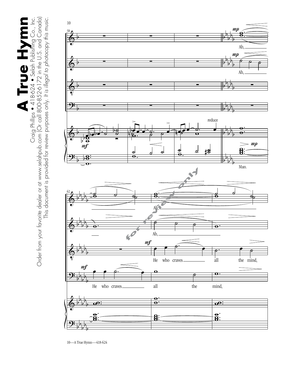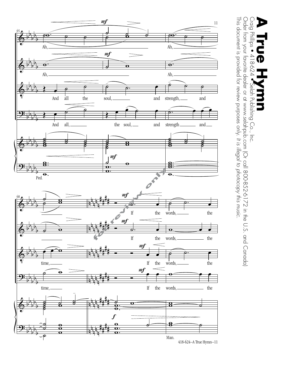

Craig Phillips • 418-624 • Selah Publishing Co., Inc.<br>Order from your favorite dealer or at www.selahpub.com (Or call 800-852-6172 in the U.S. and Canada)<br>This document is exercided for review, exerce cent. It is illected This document is provided for review purposes only. It is illegal to photocopy this music. This document is provided for review purposes only. Order from your favorite dealer or at www.selahpub.com (Or call 800-852-6172 in the U.S. and Canada) **A True Hymnn**<br>Craig Philips • 418-624 • Selah Publishing Co., Inc. D *It is illegal to photocopy this music.*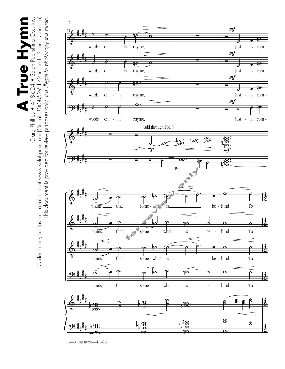

12—A True Hymn—418-624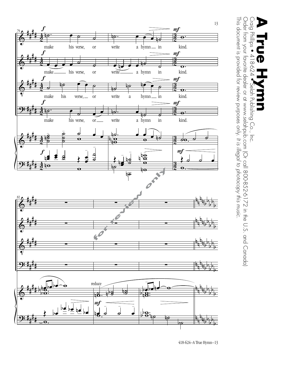

Craig Phillips • 418-624 • Selah Publishing Co., Inc.<br>Order from your favorite dealer or at www.selahpub.com (Or call 800-852-6172 in the U.S. and Canada)<br>This document is exercided for review, exerce call, this illead to This document is provided for review purposes only. It is illegal to photocopy this music. This document is provided for review purposes only. Order from your favorite dealer or at www.selahpub.com (Or call 800-852-6172 in the U.S. and Canada) **A True Hymnn**<br>Craig Philips • 418-624 • Selah Publishing Co., Inc. D *It is illegal to photocopy this music.*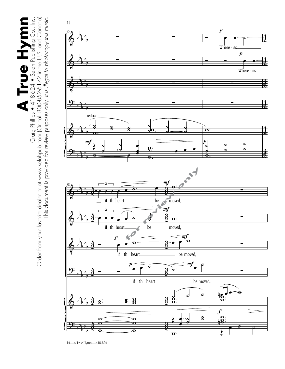

14—A True Hymn—418-624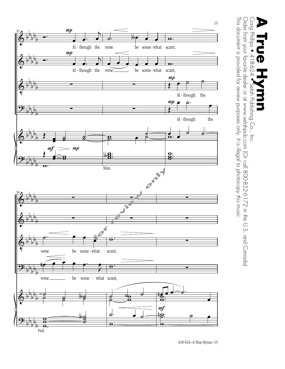

Craig Phillips ● 4 1 8-624 ●Selah Publishing Co., Inc.<br>Order from your favorite dealer or at www.selahpub.com (Or call 800-852-6172 in the U.S. and Canada)<br>This document is provided for review purposes only. It is illegal This document is provided for review purposes only. It is illegal to photocopy this music. This document is provided for review purposes only. Order from your favorite dealer or at www.selahpub.com (Or call 800-852-6172 in the U.S. and Canada) **A True Hymnn**<br>Craig Philips • 418-624 • Selah Publishing Co., Inc. *It is illegal to photocopy this music.*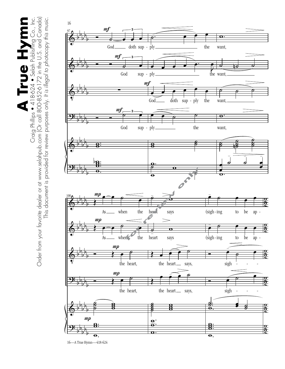

<sup>16—</sup>A True Hymn—418-624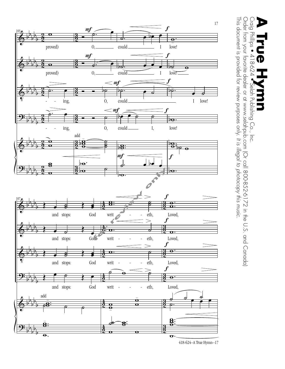

418-624—A True Hymn—17 418-624–A True Hymn–17

This document is provided for review purposes only.

This document is provided for review purposes only. It is illegal to photocopy this music.

**A True Hymnn**<br>Craig Philips • 418-624 • Selah Publishing Co., Inc.

D

Order from your favorite dealer or at www.selahpub.com (Or call 800-852-6172 in the U.S. and Canada)

Craig Phillips ● 4 1 8-624 ●Selah Publishing Co., Inc.<br>Order from your favorite dealer or at www.selahpub.com (Or call 800-852-6172 in the U.S. and Canada)<br>This document is provided for review purposes only. It is illegal

*It is illegal to photocopy this music.*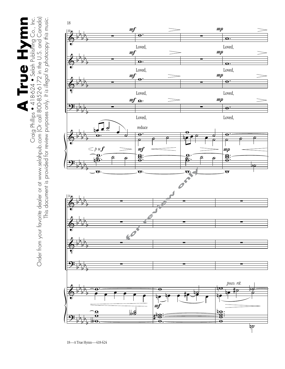Order from your favorite dealer or at www.selahpub.com (Or call 800-852-6172 in the U.S. and Canada) **A True Hymn** Craig Phillips • 418-624 • Selah Publishing Co., Inc. This document is provided for review purposes only. It is illegal to photocopy this music. This document is provided for review purposes only. *It is illegal to photocopy this music.*

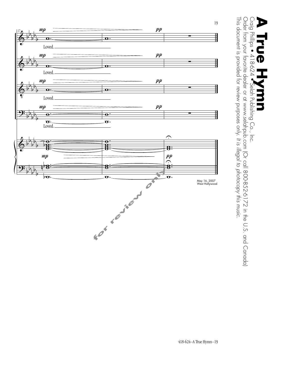![](_page_18_Figure_0.jpeg)

Craig Philips ● 4 1 8-624 ● Selah Publishing Co., Inc.<br>Order from your favorite dealer or at www.selahpub.com (Or call 800-852-6172 in the U.S. and Canada)<br>This document is provided for review purposes only. It is illegal This document is provided for review purposes only. It is illegal to photocopy this music. This document is provided for review purposes only. Order from your favorite dealer or at www.selahpub.com (Or call 800-852-6172 in the U.S. and Canada) **A True Hymnn**<br>Craig Philips • 418-624 • Selah Publishing Co., Inc. *It is illegal to photocopy this music.*